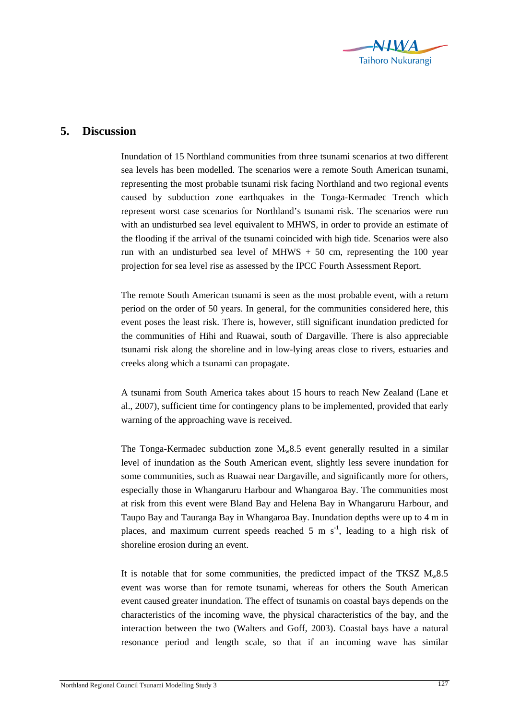

## **5. Discussion**

Inundation of 15 Northland communities from three tsunami scenarios at two different sea levels has been modelled. The scenarios were a remote South American tsunami, representing the most probable tsunami risk facing Northland and two regional events caused by subduction zone earthquakes in the Tonga-Kermadec Trench which represent worst case scenarios for Northland's tsunami risk. The scenarios were run with an undisturbed sea level equivalent to MHWS, in order to provide an estimate of the flooding if the arrival of the tsunami coincided with high tide. Scenarios were also run with an undisturbed sea level of MHWS  $+50$  cm, representing the 100 year projection for sea level rise as assessed by the IPCC Fourth Assessment Report.

The remote South American tsunami is seen as the most probable event, with a return period on the order of 50 years. In general, for the communities considered here, this event poses the least risk. There is, however, still significant inundation predicted for the communities of Hihi and Ruawai, south of Dargaville. There is also appreciable tsunami risk along the shoreline and in low-lying areas close to rivers, estuaries and creeks along which a tsunami can propagate.

A tsunami from South America takes about 15 hours to reach New Zealand (Lane et al., 2007), sufficient time for contingency plans to be implemented, provided that early warning of the approaching wave is received.

The Tonga-Kermadec subduction zone  $M_w 8.5$  event generally resulted in a similar level of inundation as the South American event, slightly less severe inundation for some communities, such as Ruawai near Dargaville, and significantly more for others, especially those in Whangaruru Harbour and Whangaroa Bay. The communities most at risk from this event were Bland Bay and Helena Bay in Whangaruru Harbour, and Taupo Bay and Tauranga Bay in Whangaroa Bay. Inundation depths were up to 4 m in places, and maximum current speeds reached 5 m  $s^{-1}$ , leading to a high risk of shoreline erosion during an event.

It is notable that for some communities, the predicted impact of the TKSZ  $M_w 8.5$ event was worse than for remote tsunami, whereas for others the South American event caused greater inundation. The effect of tsunamis on coastal bays depends on the characteristics of the incoming wave, the physical characteristics of the bay, and the interaction between the two (Walters and Goff, 2003). Coastal bays have a natural resonance period and length scale, so that if an incoming wave has similar